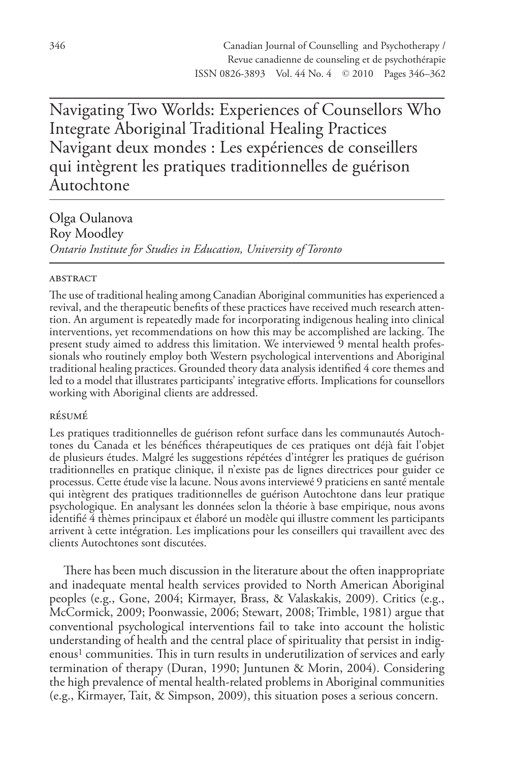Navigating Two Worlds: Experiences of Counsellors Who Integrate Aboriginal Traditional Healing Practices Navigant deux mondes : Les expériences de conseillers qui intègrent les pratiques traditionnelles de guérison Autochtone

Olga Oulanova Roy Moodley *Ontario Institute for Studies in Education, University of Toronto*

## **ABSTRACT**

The use of traditional healing among Canadian Aboriginal communities has experienced a revival, and the therapeutic benefits of these practices have received much research attention. An argument is repeatedly made for incorporating indigenous healing into clinical interventions, yet recommendations on how this may be accomplished are lacking. The present study aimed to address this limitation. We interviewed 9 mental health professionals who routinely employ both Western psychological interventions and Aboriginal traditional healing practices. Grounded theory data analysis identified 4 core themes and led to a model that illustrates participants' integrative efforts. Implications for counsellors working with Aboriginal clients are addressed.

# résumé

Les pratiques traditionnelles de guérison refont surface dans les communautés Autochtones du Canada et les bénéfices thérapeutiques de ces pratiques ont déjà fait l'objet de plusieurs études. Malgré les suggestions répétées d'intégrer les pratiques de guérison traditionnelles en pratique clinique, il n'existe pas de lignes directrices pour guider ce processus. Cette étude vise la lacune. Nous avons interviewé 9 praticiens en santé mentale qui intègrent des pratiques traditionnelles de guérison Autochtone dans leur pratique psychologique. En analysant les données selon la théorie à base empirique, nous avons identifié 4 thèmes principaux et élaboré un modèle qui illustre comment les participants arrivent à cette intégration. Les implications pour les conseillers qui travaillent avec des clients Autochtones sont discutées.

There has been much discussion in the literature about the often inappropriate and inadequate mental health services provided to North American Aboriginal peoples (e.g., Gone, 2004; Kirmayer, Brass, & Valaskakis, 2009). Critics (e.g., McCormick, 2009; Poonwassie, 2006; Stewart, 2008; Trimble, 1981) argue that conventional psychological interventions fail to take into account the holistic understanding of health and the central place of spirituality that persist in indigenous<sup>1</sup> communities. This in turn results in underutilization of services and early termination of therapy (Duran, 1990; Juntunen & Morin, 2004). Considering the high prevalence of mental health-related problems in Aboriginal communities (e.g., Kirmayer, Tait, & Simpson, 2009), this situation poses a serious concern.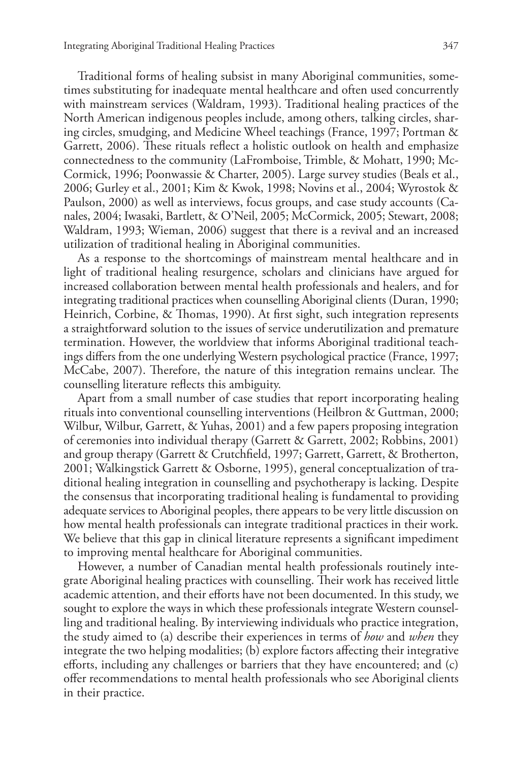Traditional forms of healing subsist in many Aboriginal communities, sometimes substituting for inadequate mental healthcare and often used concurrently with mainstream services (Waldram, 1993). Traditional healing practices of the North American indigenous peoples include, among others, talking circles, sharing circles, smudging, and Medicine Wheel teachings (France, 1997; Portman & Garrett, 2006). These rituals reflect a holistic outlook on health and emphasize connectedness to the community (LaFromboise, Trimble, & Mohatt, 1990; Mc-Cormick, 1996; Poonwassie & Charter, 2005). Large survey studies (Beals et al., 2006; Gurley et al., 2001; Kim & Kwok, 1998; Novins et al., 2004; Wyrostok & Paulson, 2000) as well as interviews, focus groups, and case study accounts (Canales, 2004; Iwasaki, Bartlett, & O'Neil, 2005; McCormick, 2005; Stewart, 2008; Waldram, 1993; Wieman, 2006) suggest that there is a revival and an increased utilization of traditional healing in Aboriginal communities.

As a response to the shortcomings of mainstream mental healthcare and in light of traditional healing resurgence, scholars and clinicians have argued for increased collaboration between mental health professionals and healers, and for integrating traditional practices when counselling Aboriginal clients (Duran, 1990; Heinrich, Corbine, & Thomas, 1990). At first sight, such integration represents a straightforward solution to the issues of service underutilization and premature termination. However, the worldview that informs Aboriginal traditional teachings differs from the one underlying Western psychological practice (France, 1997; McCabe, 2007). Therefore, the nature of this integration remains unclear. The counselling literature reflects this ambiguity.

Apart from a small number of case studies that report incorporating healing rituals into conventional counselling interventions (Heilbron & Guttman, 2000; Wilbur, Wilbur, Garrett, & Yuhas, 2001) and a few papers proposing integration of ceremonies into individual therapy (Garrett & Garrett, 2002; Robbins, 2001) and group therapy (Garrett & Crutchfield, 1997; Garrett, Garrett, & Brotherton, 2001; Walkingstick Garrett & Osborne, 1995), general conceptualization of traditional healing integration in counselling and psychotherapy is lacking. Despite the consensus that incorporating traditional healing is fundamental to providing adequate services to Aboriginal peoples, there appears to be very little discussion on how mental health professionals can integrate traditional practices in their work. We believe that this gap in clinical literature represents a significant impediment to improving mental healthcare for Aboriginal communities.

However, a number of Canadian mental health professionals routinely integrate Aboriginal healing practices with counselling. Their work has received little academic attention, and their efforts have not been documented. In this study, we sought to explore the ways in which these professionals integrate Western counselling and traditional healing. By interviewing individuals who practice integration, the study aimed to (a) describe their experiences in terms of *how* and *when* they integrate the two helping modalities; (b) explore factors affecting their integrative efforts, including any challenges or barriers that they have encountered; and (c) offer recommendations to mental health professionals who see Aboriginal clients in their practice.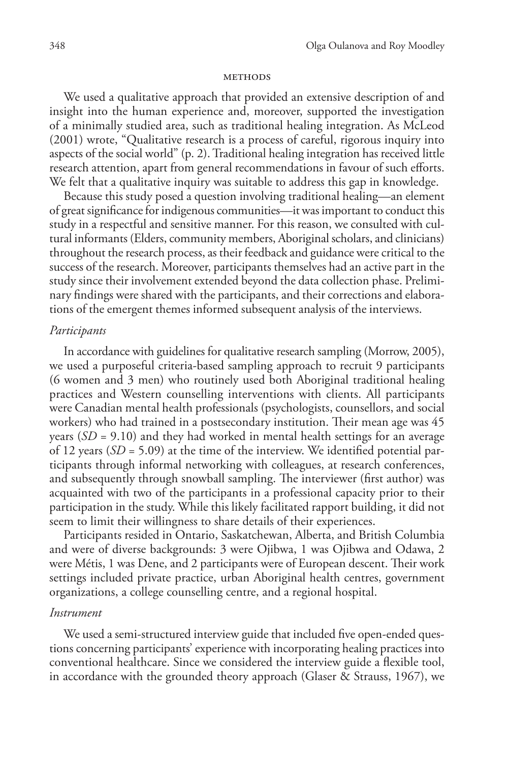#### **METHODS**

We used a qualitative approach that provided an extensive description of and insight into the human experience and, moreover, supported the investigation of a minimally studied area, such as traditional healing integration. As McLeod (2001) wrote, "Qualitative research is a process of careful, rigorous inquiry into aspects of the social world" (p. 2).Traditional healing integration has received little research attention, apart from general recommendations in favour of such efforts. We felt that a qualitative inquiry was suitable to address this gap in knowledge.

Because this study posed a question involving traditional healing—an element of great significance for indigenous communities—it was important to conduct this study in a respectful and sensitive manner. For this reason, we consulted with cultural informants (Elders, community members, Aboriginal scholars, and clinicians) throughout the research process, as their feedback and guidance were critical to the success of the research. Moreover, participants themselves had an active part in the study since their involvement extended beyond the data collection phase. Preliminary findings were shared with the participants, and their corrections and elaborations of the emergent themes informed subsequent analysis of the interviews.

## *Participants*

In accordance with guidelines for qualitative research sampling (Morrow, 2005), we used a purposeful criteria-based sampling approach to recruit 9 participants (6 women and 3 men) who routinely used both Aboriginal traditional healing practices and Western counselling interventions with clients. All participants were Canadian mental health professionals (psychologists, counsellors, and social workers) who had trained in a postsecondary institution. Their mean age was 45 years (*SD* = 9.10) and they had worked in mental health settings for an average of 12 years (*SD* = 5.09) at the time of the interview. We identified potential participants through informal networking with colleagues, at research conferences, and subsequently through snowball sampling. The interviewer (first author) was acquainted with two of the participants in a professional capacity prior to their participation in the study. While this likely facilitated rapport building, it did not seem to limit their willingness to share details of their experiences.

Participants resided in Ontario, Saskatchewan, Alberta, and British Columbia and were of diverse backgrounds: 3 were Ojibwa, 1 was Ojibwa and Odawa, 2 were Métis, 1 was Dene, and 2 participants were of European descent. Their work settings included private practice, urban Aboriginal health centres, government organizations, a college counselling centre, and a regional hospital.

## *Instrument*

We used a semi-structured interview guide that included five open-ended questions concerning participants' experience with incorporating healing practices into conventional healthcare. Since we considered the interview guide a flexible tool, in accordance with the grounded theory approach (Glaser & Strauss, 1967), we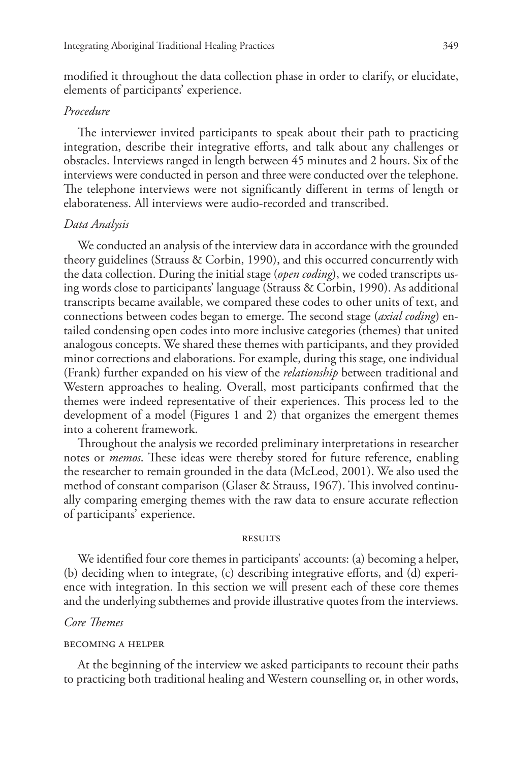modified it throughout the data collection phase in order to clarify, or elucidate, elements of participants' experience.

# *Procedure*

The interviewer invited participants to speak about their path to practicing integration, describe their integrative efforts, and talk about any challenges or obstacles. Interviews ranged in length between 45 minutes and 2 hours. Six of the interviews were conducted in person and three were conducted over the telephone. The telephone interviews were not significantly different in terms of length or elaborateness. All interviews were audio-recorded and transcribed.

## *Data Analysis*

We conducted an analysis of the interview data in accordance with the grounded theory guidelines (Strauss & Corbin, 1990), and this occurred concurrently with the data collection. During the initial stage (*open coding*), we coded transcripts using words close to participants' language (Strauss & Corbin, 1990). As additional transcripts became available, we compared these codes to other units of text, and connections between codes began to emerge. The second stage (*axial coding*) entailed condensing open codes into more inclusive categories (themes) that united analogous concepts. We shared these themes with participants, and they provided minor corrections and elaborations. For example, during this stage, one individual (Frank) further expanded on his view of the *relationship* between traditional and Western approaches to healing. Overall, most participants confirmed that the themes were indeed representative of their experiences. This process led to the development of a model (Figures 1 and 2) that organizes the emergent themes into a coherent framework.

Throughout the analysis we recorded preliminary interpretations in researcher notes or *memos*. These ideas were thereby stored for future reference, enabling the researcher to remain grounded in the data (McLeod, 2001). We also used the method of constant comparison (Glaser & Strauss, 1967). This involved continually comparing emerging themes with the raw data to ensure accurate reflection of participants' experience.

#### **RESULTS**

We identified four core themes in participants' accounts: (a) becoming a helper, (b) deciding when to integrate, (c) describing integrative efforts, and (d) experience with integration. In this section we will present each of these core themes and the underlying subthemes and provide illustrative quotes from the interviews.

## *Core Themes*

#### becoming a helper

At the beginning of the interview we asked participants to recount their paths to practicing both traditional healing and Western counselling or, in other words,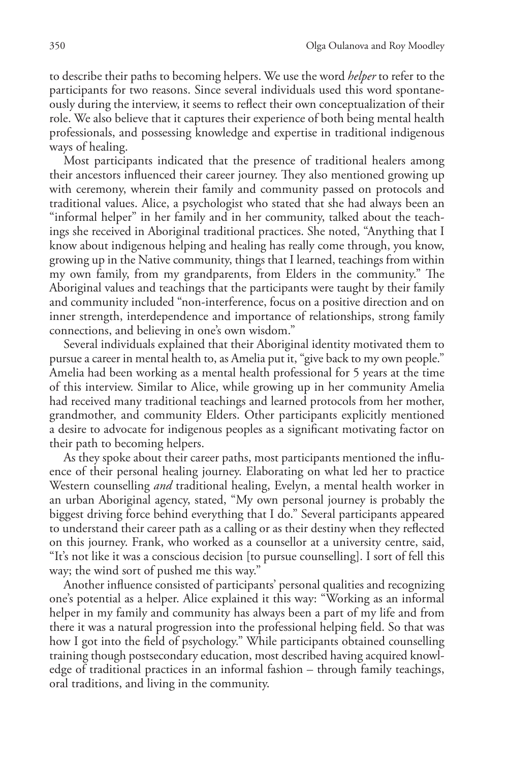to describe their paths to becoming helpers. We use the word *helper* to refer to the participants for two reasons. Since several individuals used this word spontaneously during the interview, it seems to reflect their own conceptualization of their role. We also believe that it captures their experience of both being mental health professionals, and possessing knowledge and expertise in traditional indigenous ways of healing.

Most participants indicated that the presence of traditional healers among their ancestors influenced their career journey. They also mentioned growing up with ceremony, wherein their family and community passed on protocols and traditional values. Alice, a psychologist who stated that she had always been an "informal helper" in her family and in her community, talked about the teachings she received in Aboriginal traditional practices. She noted, "Anything that I know about indigenous helping and healing has really come through, you know, growing up in the Native community, things that I learned, teachings from within my own family, from my grandparents, from Elders in the community." The Aboriginal values and teachings that the participants were taught by their family and community included "non-interference, focus on a positive direction and on inner strength, interdependence and importance of relationships, strong family connections, and believing in one's own wisdom."

Several individuals explained that their Aboriginal identity motivated them to pursue a career in mental health to, as Amelia put it, "give back to my own people." Amelia had been working as a mental health professional for 5 years at the time of this interview. Similar to Alice, while growing up in her community Amelia had received many traditional teachings and learned protocols from her mother, grandmother, and community Elders. Other participants explicitly mentioned a desire to advocate for indigenous peoples as a significant motivating factor on their path to becoming helpers.

As they spoke about their career paths, most participants mentioned the influence of their personal healing journey. Elaborating on what led her to practice Western counselling *and* traditional healing, Evelyn, a mental health worker in an urban Aboriginal agency, stated, "My own personal journey is probably the biggest driving force behind everything that I do." Several participants appeared to understand their career path as a calling or as their destiny when they reflected on this journey. Frank, who worked as a counsellor at a university centre, said, "It's not like it was a conscious decision [to pursue counselling]. I sort of fell this way; the wind sort of pushed me this way."

Another influence consisted of participants' personal qualities and recognizing one's potential as a helper. Alice explained it this way: "Working as an informal helper in my family and community has always been a part of my life and from there it was a natural progression into the professional helping field. So that was how I got into the field of psychology." While participants obtained counselling training though postsecondary education, most described having acquired knowledge of traditional practices in an informal fashion – through family teachings, oral traditions, and living in the community.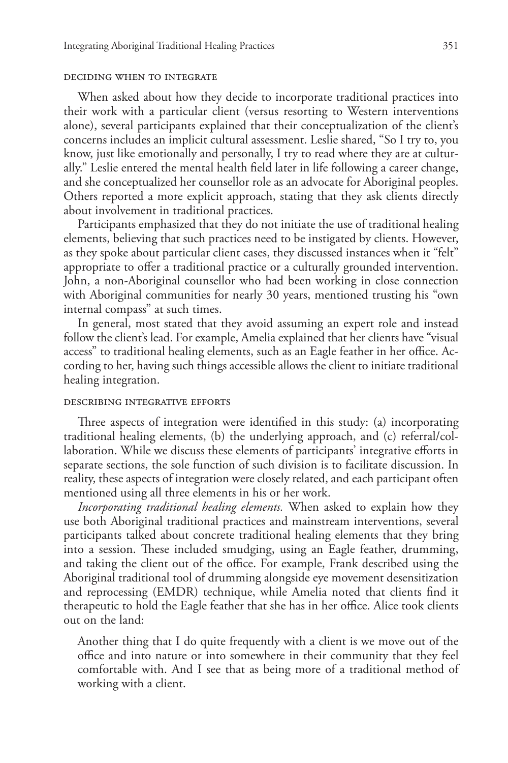#### deciding when to integrate

When asked about how they decide to incorporate traditional practices into their work with a particular client (versus resorting to Western interventions alone), several participants explained that their conceptualization of the client's concerns includes an implicit cultural assessment. Leslie shared, "So I try to, you know, just like emotionally and personally, I try to read where they are at culturally." Leslie entered the mental health field later in life following a career change, and she conceptualized her counsellor role as an advocate for Aboriginal peoples. Others reported a more explicit approach, stating that they ask clients directly about involvement in traditional practices.

Participants emphasized that they do not initiate the use of traditional healing elements, believing that such practices need to be instigated by clients. However, as they spoke about particular client cases, they discussed instances when it "felt" appropriate to offer a traditional practice or a culturally grounded intervention. John, a non-Aboriginal counsellor who had been working in close connection with Aboriginal communities for nearly 30 years, mentioned trusting his "own internal compass" at such times.

In general, most stated that they avoid assuming an expert role and instead follow the client's lead. For example, Amelia explained that her clients have "visual access" to traditional healing elements, such as an Eagle feather in her office. According to her, having such things accessible allows the client to initiate traditional healing integration.

## describing integrative efforts

Three aspects of integration were identified in this study: (a) incorporating traditional healing elements, (b) the underlying approach, and (c) referral/collaboration. While we discuss these elements of participants' integrative efforts in separate sections, the sole function of such division is to facilitate discussion. In reality, these aspects of integration were closely related, and each participant often mentioned using all three elements in his or her work.

*Incorporating traditional healing elements.* When asked to explain how they use both Aboriginal traditional practices and mainstream interventions, several participants talked about concrete traditional healing elements that they bring into a session. These included smudging, using an Eagle feather, drumming, and taking the client out of the office. For example, Frank described using the Aboriginal traditional tool of drumming alongside eye movement desensitization and reprocessing (EMDR) technique, while Amelia noted that clients find it therapeutic to hold the Eagle feather that she has in her office. Alice took clients out on the land:

Another thing that I do quite frequently with a client is we move out of the office and into nature or into somewhere in their community that they feel comfortable with. And I see that as being more of a traditional method of working with a client.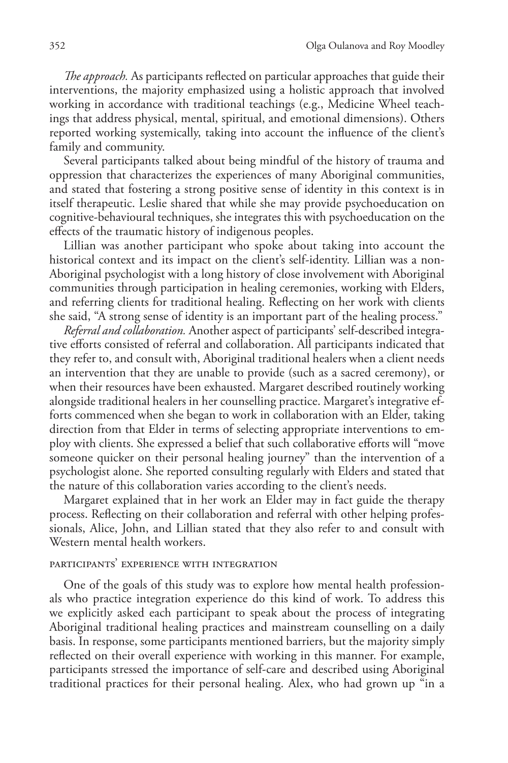*The approach.* As participants reflected on particular approaches that guide their interventions, the majority emphasized using a holistic approach that involved working in accordance with traditional teachings (e.g., Medicine Wheel teachings that address physical, mental, spiritual, and emotional dimensions). Others reported working systemically, taking into account the influence of the client's family and community.

Several participants talked about being mindful of the history of trauma and oppression that characterizes the experiences of many Aboriginal communities, and stated that fostering a strong positive sense of identity in this context is in itself therapeutic. Leslie shared that while she may provide psychoeducation on cognitive-behavioural techniques, she integrates this with psychoeducation on the effects of the traumatic history of indigenous peoples.

Lillian was another participant who spoke about taking into account the historical context and its impact on the client's self-identity. Lillian was a non-Aboriginal psychologist with a long history of close involvement with Aboriginal communities through participation in healing ceremonies, working with Elders, and referring clients for traditional healing. Reflecting on her work with clients she said, "A strong sense of identity is an important part of the healing process."

*Referral and collaboration.* Another aspect of participants' self-described integrative efforts consisted of referral and collaboration. All participants indicated that they refer to, and consult with, Aboriginal traditional healers when a client needs an intervention that they are unable to provide (such as a sacred ceremony), or when their resources have been exhausted. Margaret described routinely working alongside traditional healers in her counselling practice. Margaret's integrative efforts commenced when she began to work in collaboration with an Elder, taking direction from that Elder in terms of selecting appropriate interventions to employ with clients. She expressed a belief that such collaborative efforts will "move someone quicker on their personal healing journey" than the intervention of a psychologist alone. She reported consulting regularly with Elders and stated that the nature of this collaboration varies according to the client's needs.

Margaret explained that in her work an Elder may in fact guide the therapy process. Reflecting on their collaboration and referral with other helping professionals, Alice, John, and Lillian stated that they also refer to and consult with Western mental health workers.

## participants' experience with integration

One of the goals of this study was to explore how mental health professionals who practice integration experience do this kind of work. To address this we explicitly asked each participant to speak about the process of integrating Aboriginal traditional healing practices and mainstream counselling on a daily basis. In response, some participants mentioned barriers, but the majority simply reflected on their overall experience with working in this manner. For example, participants stressed the importance of self-care and described using Aboriginal traditional practices for their personal healing. Alex, who had grown up "in a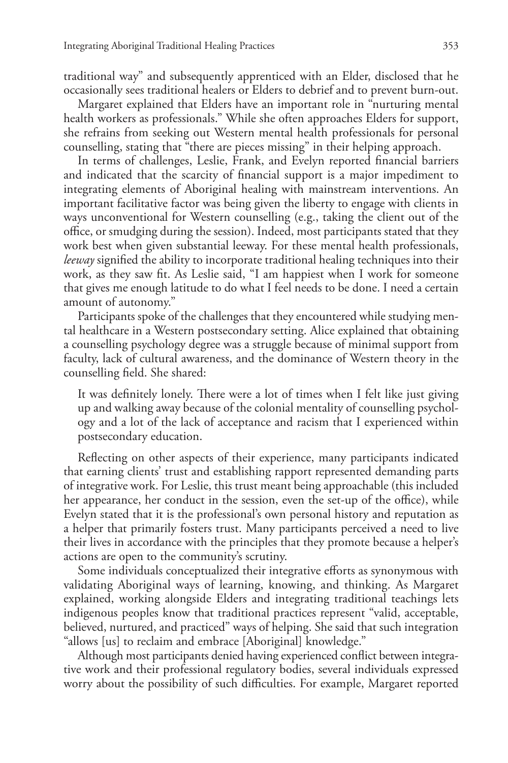traditional way" and subsequently apprenticed with an Elder, disclosed that he occasionally sees traditional healers or Elders to debrief and to prevent burn-out.

Margaret explained that Elders have an important role in "nurturing mental health workers as professionals." While she often approaches Elders for support, she refrains from seeking out Western mental health professionals for personal counselling, stating that "there are pieces missing" in their helping approach.

In terms of challenges, Leslie, Frank, and Evelyn reported financial barriers and indicated that the scarcity of financial support is a major impediment to integrating elements of Aboriginal healing with mainstream interventions. An important facilitative factor was being given the liberty to engage with clients in ways unconventional for Western counselling (e.g., taking the client out of the office, or smudging during the session). Indeed, most participants stated that they work best when given substantial leeway. For these mental health professionals, *leeway* signified the ability to incorporate traditional healing techniques into their work, as they saw fit. As Leslie said, "I am happiest when I work for someone that gives me enough latitude to do what I feel needs to be done. I need a certain amount of autonomy."

Participants spoke of the challenges that they encountered while studying mental healthcare in a Western postsecondary setting. Alice explained that obtaining a counselling psychology degree was a struggle because of minimal support from faculty, lack of cultural awareness, and the dominance of Western theory in the counselling field. She shared:

It was definitely lonely. There were a lot of times when I felt like just giving up and walking away because of the colonial mentality of counselling psychology and a lot of the lack of acceptance and racism that I experienced within postsecondary education.

Reflecting on other aspects of their experience, many participants indicated that earning clients' trust and establishing rapport represented demanding parts of integrative work. For Leslie, this trust meant being approachable (this included her appearance, her conduct in the session, even the set-up of the office), while Evelyn stated that it is the professional's own personal history and reputation as a helper that primarily fosters trust. Many participants perceived a need to live their lives in accordance with the principles that they promote because a helper's actions are open to the community's scrutiny.

Some individuals conceptualized their integrative efforts as synonymous with validating Aboriginal ways of learning, knowing, and thinking. As Margaret explained, working alongside Elders and integrating traditional teachings lets indigenous peoples know that traditional practices represent "valid, acceptable, believed, nurtured, and practiced" ways of helping. She said that such integration "allows [us] to reclaim and embrace [Aboriginal] knowledge."

Although most participants denied having experienced conflict between integrative work and their professional regulatory bodies, several individuals expressed worry about the possibility of such difficulties. For example, Margaret reported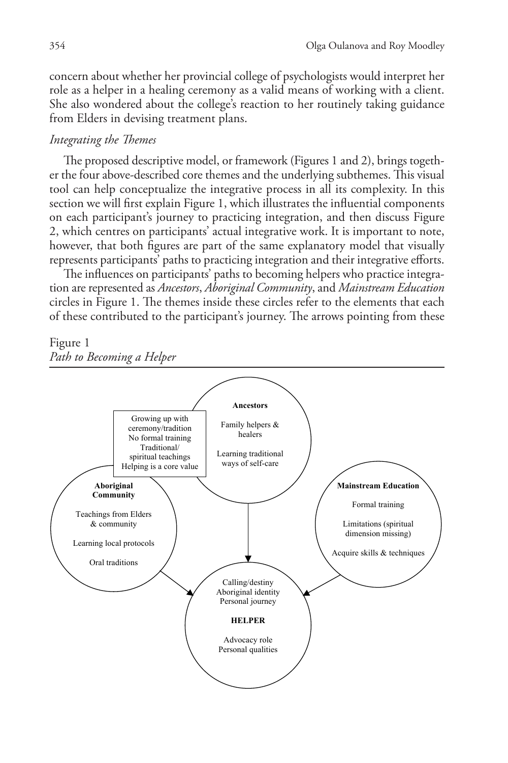concern about whether her provincial college of psychologists would interpret her role as a helper in a healing ceremony as a valid means of working with a client. She also wondered about the college's reaction to her routinely taking guidance from Elders in devising treatment plans.

# *Integrating the Themes*

The proposed descriptive model, or framework (Figures 1 and 2), brings together the four above-described core themes and the underlying subthemes. This visual tool can help conceptualize the integrative process in all its complexity. In this section we will first explain Figure 1, which illustrates the influential components on each participant's journey to practicing integration, and then discuss Figure 2, which centres on participants' actual integrative work. It is important to note, however, that both figures are part of the same explanatory model that visually represents participants' paths to practicing integration and their integrative efforts.

The influences on participants' paths to becoming helpers who practice integration are represented as *Ancestors*, *Aboriginal Community*, and *Mainstream Education* circles in Figure 1. The themes inside these circles refer to the elements that each of these contributed to the participant's journey. The arrows pointing from these

# Figure 1



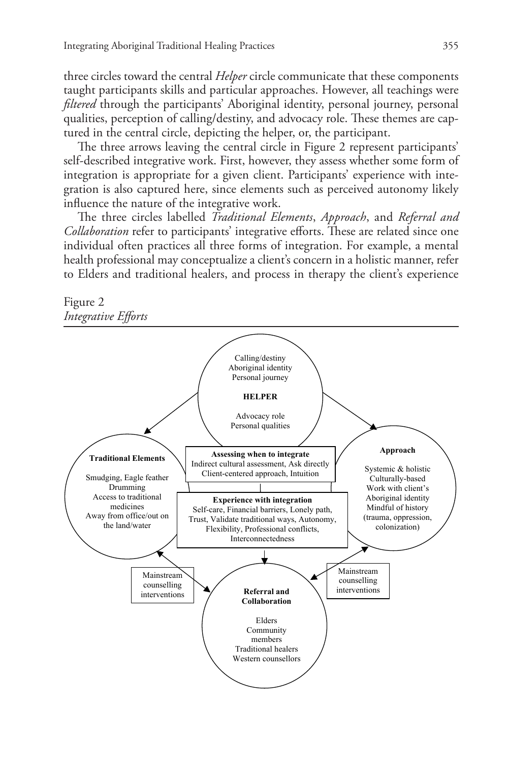three circles toward the central *Helper* circle communicate that these components taught participants skills and particular approaches. However, all teachings were *filtered* through the participants' Aboriginal identity, personal journey, personal qualities, perception of calling/destiny, and advocacy role. These themes are captured in the central circle, depicting the helper, or, the participant.

The three arrows leaving the central circle in Figure 2 represent participants' self-described integrative work. First, however, they assess whether some form of integration is appropriate for a given client. Participants' experience with integration is also captured here, since elements such as perceived autonomy likely influence the nature of the integrative work.

The three circles labelled *Traditional Elements*, *Approach*, and *Referral and Collaboration* refer to participants' integrative efforts. These are related since one individual often practices all three forms of integration. For example, a mental health professional may conceptualize a client's concern in a holistic manner, refer to Elders and traditional healers, and process in therapy the client's experience



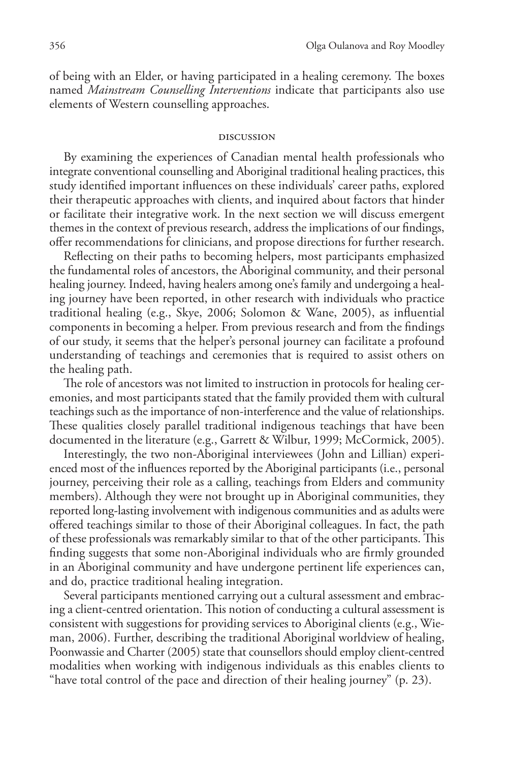of being with an Elder, or having participated in a healing ceremony. The boxes named *Mainstream Counselling Interventions* indicate that participants also use elements of Western counselling approaches.

#### discussion

By examining the experiences of Canadian mental health professionals who integrate conventional counselling and Aboriginal traditional healing practices, this study identified important influences on these individuals' career paths, explored their therapeutic approaches with clients, and inquired about factors that hinder or facilitate their integrative work. In the next section we will discuss emergent themes in the context of previous research, address the implications of our findings, offer recommendations for clinicians, and propose directions for further research.

Reflecting on their paths to becoming helpers, most participants emphasized the fundamental roles of ancestors, the Aboriginal community, and their personal healing journey. Indeed, having healers among one's family and undergoing a healing journey have been reported, in other research with individuals who practice traditional healing (e.g., Skye, 2006; Solomon & Wane, 2005), as influential components in becoming a helper. From previous research and from the findings of our study, it seems that the helper's personal journey can facilitate a profound understanding of teachings and ceremonies that is required to assist others on the healing path.

The role of ancestors was not limited to instruction in protocols for healing ceremonies, and most participants stated that the family provided them with cultural teachings such as the importance of non-interference and the value of relationships. These qualities closely parallel traditional indigenous teachings that have been documented in the literature (e.g., Garrett & Wilbur, 1999; McCormick, 2005).

Interestingly, the two non-Aboriginal interviewees (John and Lillian) experienced most of the influences reported by the Aboriginal participants (i.e., personal journey, perceiving their role as a calling, teachings from Elders and community members). Although they were not brought up in Aboriginal communities, they reported long-lasting involvement with indigenous communities and as adults were offered teachings similar to those of their Aboriginal colleagues. In fact, the path of these professionals was remarkably similar to that of the other participants. This finding suggests that some non-Aboriginal individuals who are firmly grounded in an Aboriginal community and have undergone pertinent life experiences can, and do, practice traditional healing integration.

Several participants mentioned carrying out a cultural assessment and embracing a client-centred orientation. This notion of conducting a cultural assessment is consistent with suggestions for providing services to Aboriginal clients (e.g., Wieman, 2006). Further, describing the traditional Aboriginal worldview of healing, Poonwassie and Charter (2005) state that counsellors should employ client-centred modalities when working with indigenous individuals as this enables clients to "have total control of the pace and direction of their healing journey" (p. 23).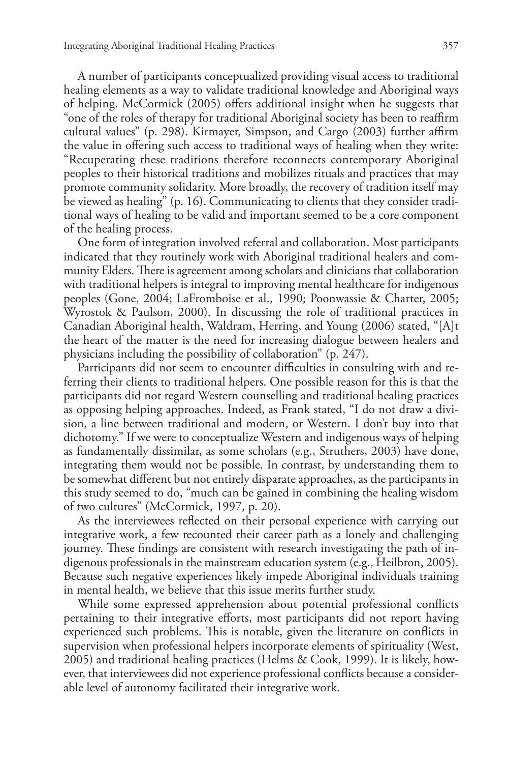A number of participants conceptualized providing visual access to traditional healing elements as a way to validate traditional knowledge and Aboriginal ways of helping. McCormick (2005) offers additional insight when he suggests that "one of the roles of therapy for traditional Aboriginal society has been to reaffirm cultural values" (p. 298). Kirmayer, Simpson, and Cargo (2003) further affirm the value in offering such access to traditional ways of healing when they write: "Recuperating these traditions therefore reconnects contemporary Aboriginal peoples to their historical traditions and mobilizes rituals and practices that may promote community solidarity. More broadly, the recovery of tradition itself may be viewed as healing" (p. 16). Communicating to clients that they consider traditional ways of healing to be valid and important seemed to be a core component of the healing process.

One form of integration involved referral and collaboration. Most participants indicated that they routinely work with Aboriginal traditional healers and community Elders. There is agreement among scholars and clinicians that collaboration with traditional helpers is integral to improving mental healthcare for indigenous peoples (Gone, 2004; LaFromboise et al., 1990; Poonwassie & Charter, 2005; Wyrostok & Paulson, 2000). In discussing the role of traditional practices in Canadian Aboriginal health, Waldram, Herring, and Young (2006) stated, "[A]t the heart of the matter is the need for increasing dialogue between healers and physicians including the possibility of collaboration" (p. 247).

Participants did not seem to encounter difficulties in consulting with and referring their clients to traditional helpers. One possible reason for this is that the participants did not regard Western counselling and traditional healing practices as opposing helping approaches. Indeed, as Frank stated, "I do not draw a division, a line between traditional and modern, or Western. I don't buy into that dichotomy." If we were to conceptualize Western and indigenous ways of helping as fundamentally dissimilar, as some scholars (e.g., Struthers, 2003) have done, integrating them would not be possible. In contrast, by understanding them to be somewhat different but not entirely disparate approaches, as the participants in this study seemed to do, "much can be gained in combining the healing wisdom of two cultures" (McCormick, 1997, p. 20).

As the interviewees reflected on their personal experience with carrying out integrative work, a few recounted their career path as a lonely and challenging journey. These findings are consistent with research investigating the path of indigenous professionals in the mainstream education system (e.g., Heilbron, 2005). Because such negative experiences likely impede Aboriginal individuals training in mental health, we believe that this issue merits further study.

While some expressed apprehension about potential professional conflicts pertaining to their integrative efforts, most participants did not report having experienced such problems. This is notable, given the literature on conflicts in supervision when professional helpers incorporate elements of spirituality (West, 2005) and traditional healing practices (Helms & Cook, 1999). It is likely, however, that interviewees did not experience professional conflicts because a considerable level of autonomy facilitated their integrative work.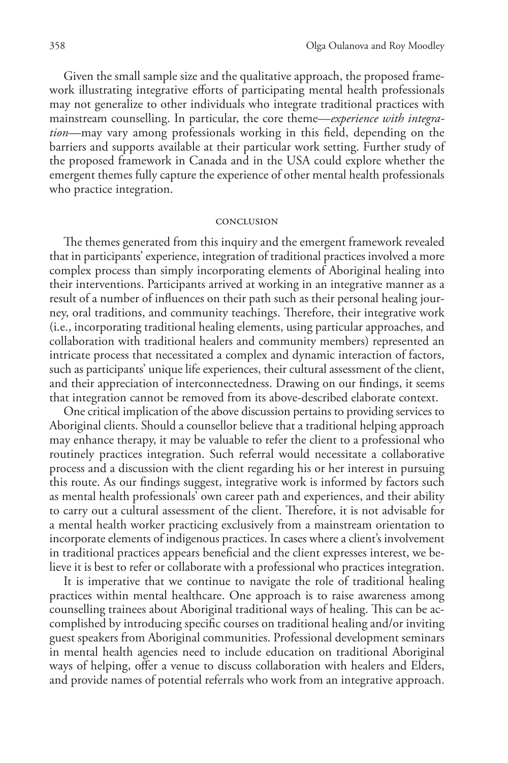Given the small sample size and the qualitative approach, the proposed framework illustrating integrative efforts of participating mental health professionals may not generalize to other individuals who integrate traditional practices with mainstream counselling. In particular, the core theme—*experience with integration*—may vary among professionals working in this field, depending on the barriers and supports available at their particular work setting. Further study of the proposed framework in Canada and in the USA could explore whether the emergent themes fully capture the experience of other mental health professionals who practice integration.

#### conclusion

The themes generated from this inquiry and the emergent framework revealed that in participants'experience, integration of traditional practices involved a more complex process than simply incorporating elements of Aboriginal healing into their interventions. Participants arrived at working in an integrative manner as a result of a number of influences on their path such as their personal healing journey, oral traditions, and community teachings. Therefore, their integrative work (i.e., incorporating traditional healing elements, using particular approaches, and collaboration with traditional healers and community members) represented an intricate process that necessitated a complex and dynamic interaction of factors, such as participants' unique life experiences, their cultural assessment of the client, and their appreciation of interconnectedness. Drawing on our findings, it seems that integration cannot be removed from its above-described elaborate context.

One critical implication of the above discussion pertains to providing services to Aboriginal clients. Should a counsellor believe that a traditional helping approach may enhance therapy, it may be valuable to refer the client to a professional who routinely practices integration. Such referral would necessitate a collaborative process and a discussion with the client regarding his or her interest in pursuing this route. As our findings suggest, integrative work is informed by factors such as mental health professionals' own career path and experiences, and their ability to carry out a cultural assessment of the client. Therefore, it is not advisable for a mental health worker practicing exclusively from a mainstream orientation to incorporate elements of indigenous practices. In cases where a client's involvement in traditional practices appears beneficial and the client expresses interest, we believe it is best to refer or collaborate with a professional who practices integration.

It is imperative that we continue to navigate the role of traditional healing practices within mental healthcare. One approach is to raise awareness among counselling trainees about Aboriginal traditional ways of healing. This can be accomplished by introducing specific courses on traditional healing and/or inviting guest speakers from Aboriginal communities. Professional development seminars in mental health agencies need to include education on traditional Aboriginal ways of helping, offer a venue to discuss collaboration with healers and Elders, and provide names of potential referrals who work from an integrative approach.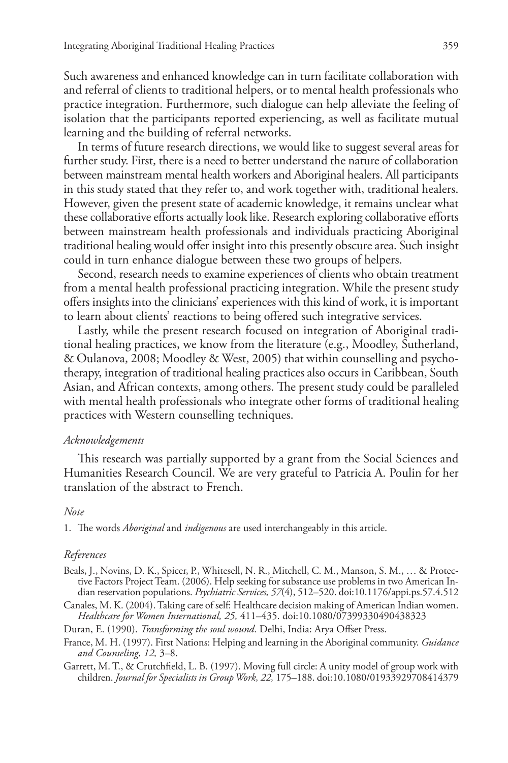Such awareness and enhanced knowledge can in turn facilitate collaboration with and referral of clients to traditional helpers, or to mental health professionals who practice integration. Furthermore, such dialogue can help alleviate the feeling of isolation that the participants reported experiencing, as well as facilitate mutual learning and the building of referral networks.

In terms of future research directions, we would like to suggest several areas for further study. First, there is a need to better understand the nature of collaboration between mainstream mental health workers and Aboriginal healers. All participants in this study stated that they refer to, and work together with, traditional healers. However, given the present state of academic knowledge, it remains unclear what these collaborative efforts actually look like. Research exploring collaborative efforts between mainstream health professionals and individuals practicing Aboriginal traditional healing would offer insight into this presently obscure area. Such insight could in turn enhance dialogue between these two groups of helpers.

Second, research needs to examine experiences of clients who obtain treatment from a mental health professional practicing integration. While the present study offers insights into the clinicians'experiences with this kind of work, it is important to learn about clients' reactions to being offered such integrative services.

Lastly, while the present research focused on integration of Aboriginal traditional healing practices, we know from the literature (e.g., Moodley, Sutherland, & Oulanova, 2008; Moodley & West, 2005) that within counselling and psychotherapy, integration of traditional healing practices also occurs in Caribbean, South Asian, and African contexts, among others. The present study could be paralleled with mental health professionals who integrate other forms of traditional healing practices with Western counselling techniques.

## *Acknowledgements*

This research was partially supported by a grant from the Social Sciences and Humanities Research Council. We are very grateful to Patricia A. Poulin for her translation of the abstract to French.

### *Note*

1. The words *Aboriginal* and *indigenous* are used interchangeably in this article.

## *References*

- Beals, J., Novins, D. K., Spicer, P., Whitesell, N. R., Mitchell, C. M., Manson, S. M., … & Protective Factors Project Team. (2006). Help seeking for substance use problems in two American Indian reservation populations. *Psychiatric Services, 57*(4), 512–520. doi:10.1176/appi.ps.57.4.512
- Canales, M. K. (2004).Taking care of self: Healthcare decision making of American Indian women. *Healthcare for Women International, 25,* 411–435. doi:10.1080/07399330490438323

Duran, E. (1990). *Transforming the soul wound*. Delhi, India: Arya Offset Press.

- France, M. H. (1997). First Nations: Helping and learning in the Aboriginal community. *Guidance and Counseling*, *12,* 3–8.
- Garrett, M. T., & Crutchfield, L. B. (1997). Moving full circle: A unity model of group work with children. *Journal for Specialists in Group Work, 22,* 175–188. doi:10.1080/01933929708414379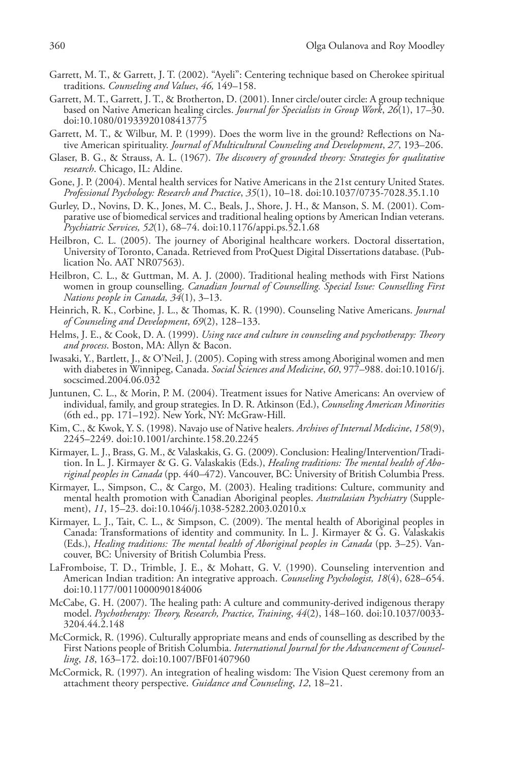- Garrett, M. T., & Garrett, J. T. (2002). "Ayeli": Centering technique based on Cherokee spiritual traditions. *Counseling and Values*, *46,* 149–158.
- Garrett, M.T., Garrett, J.T., & Brotherton, D. (2001). Inner circle/outer circle: A group technique based on Native American healing circles. *Journal for Specialists in Group Work*, *26*(1), 17–30. doi:10.1080/01933920108413775
- Garrett, M. T., & Wilbur, M. P. (1999). Does the worm live in the ground? Reflections on Native American spirituality. *Journal of Multicultural Counseling and Development*, *27*, 193–206.
- Glaser, B. G., & Strauss, A. L. (1967). *The discovery of grounded theory: Strategies for qualitative research*. Chicago, IL: Aldine.
- Gone, J. P. (2004). Mental health services for Native Americans in the 21st century United States. *Professional Psychology: Research and Practice*, *35*(1), 10–18. doi:10.1037/0735-7028.35.1.10
- Gurley, D., Novins, D. K., Jones, M. C., Beals, J., Shore, J. H., & Manson, S. M. (2001). Comparative use of biomedical services and traditional healing options by American Indian veterans. *Psychiatric Services, 52*(1), 68–74. doi:10.1176/appi.ps.52.1.68
- Heilbron, C. L. (2005). The journey of Aboriginal healthcare workers. Doctoral dissertation, University of Toronto, Canada. Retrieved from ProQuest Digital Dissertations database. (Publication No. AAT NR07563).
- Heilbron, C. L., & Guttman, M. A. J. (2000). Traditional healing methods with First Nations women in group counselling. *Canadian Journal of Counselling. Special Issue: Counselling First Nations people in Canada, 34*(1), 3–13.
- Heinrich, R. K., Corbine, J. L., & Thomas, K. R. (1990). Counseling Native Americans. *Journal of Counseling and Development*, *69*(2), 128–133.
- Helms, J. E., & Cook, D. A. (1999). *Using race and culture in counseling and psychotherapy: Theory and process*. Boston, MA: Allyn & Bacon.
- Iwasaki, Y., Bartlett, J., & O'Neil, J. (2005). Coping with stress among Aboriginal women and men with diabetes in Winnipeg, Canada. *Social Sciences and Medicine*, *60*, 977–988. doi:10.1016/j. socscimed.2004.06.032
- Juntunen, C. L., & Morin, P. M. (2004). Treatment issues for Native Americans: An overview of individual, family, and group strategies. In D. R. Atkinson (Ed.), *Counseling American Minorities*  (6th ed., pp. 171–192). New York, NY: McGraw-Hill.
- Kim, C., & Kwok, Y. S. (1998). Navajo use of Native healers. *Archives of Internal Medicine*, *158*(9), 2245–2249. doi:10.1001/archinte.158.20.2245
- Kirmayer, L. J., Brass, G. M., & Valaskakis, G. G. (2009). Conclusion: Healing/Intervention/Tradition. In L. J. Kirmayer & G. G. Valaskakis (Eds.), *Healing traditions: The mental health of Aboriginal peoples in Canada* (pp. 440–472). Vancouver, BC: University of British Columbia Press.
- Kirmayer, L., Simpson, C., & Cargo, M. (2003). Healing traditions: Culture, community and mental health promotion with Canadian Aboriginal peoples. *Australasian Psychiatry* (Supplement), *11*, 15–23. doi:10.1046/j.1038-5282.2003.02010.x
- Kirmayer, L. J., Tait, C. L., & Simpson, C. (2009). The mental health of Aboriginal peoples in Canada: Transformations of identity and community. In L. J. Kirmayer & G. G. Valaskakis (Eds.), *Healing traditions: The mental health of Aboriginal peoples in Canada* (pp. 3–25). Vancouver, BC: University of British Columbia Press.
- LaFromboise, T. D., Trimble, J. E., & Mohatt, G. V. (1990). Counseling intervention and American Indian tradition: An integrative approach. *Counseling Psychologist, 18*(4), 628–654. doi:10.1177/0011000090184006
- McCabe, G. H. (2007). The healing path: A culture and community-derived indigenous therapy model. *Psychotherapy: Theory, Research, Practice, Training*, *44*(2), 148–160. doi:10.1037/0033- 3204.44.2.148
- McCormick, R. (1996). Culturally appropriate means and ends of counselling as described by the First Nations people of British Columbia. *International Journal for the Advancement of Counselling*, *18*, 163–172. doi:10.1007/BF01407960
- McCormick, R. (1997). An integration of healing wisdom: The Vision Quest ceremony from an attachment theory perspective. *Guidance and Counseling*, *12*, 18–21.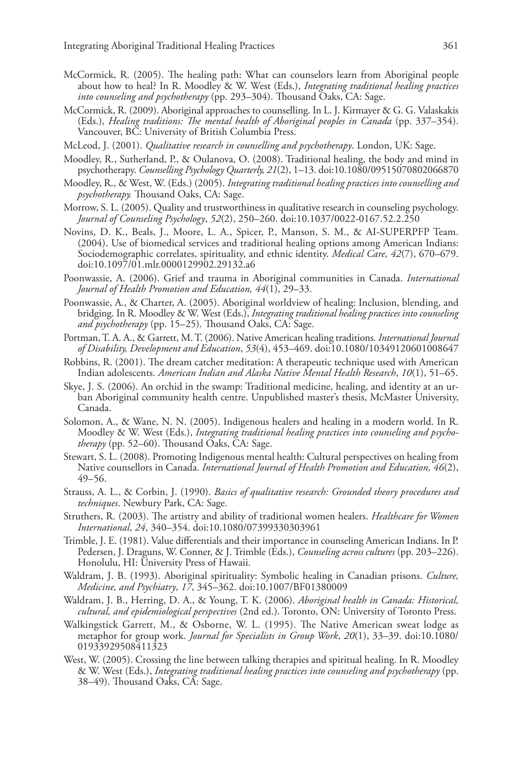- McCormick, R. (2005). The healing path: What can counselors learn from Aboriginal people about how to heal? In R. Moodley & W. West (Eds.), *Integrating traditional healing practices into counseling and psychotherapy* (pp. 293–304). Thousand Oaks, CA: Sage.
- McCormick, R. (2009). Aboriginal approaches to counselling. In L. J. Kirmayer & G. G. Valaskakis (Eds.), *Healing traditions: The mental health of Aboriginal peoples in Canada* (pp. 337–354). Vancouver, BC: University of British Columbia Press.
- McLeod, J. (2001). *Qualitative research in counselling and psychotherapy*. London, UK: Sage.
- Moodley, R., Sutherland, P., & Oulanova, O. (2008). Traditional healing, the body and mind in psychotherapy. *Counselling Psychology Quarterly, 21*(2), 1–13. doi:10.1080/09515070802066870
- Moodley, R., & West, W. (Eds.) (2005). *Integrating traditional healing practices into counselling and psychotherapy.* Thousand Oaks, CA: Sage.
- Morrow, S. L. (2005). Quality and trustworthiness in qualitative research in counseling psychology. *Journal of Counseling Psychology*, *52*(2), 250–260. doi:10.1037/0022-0167.52.2.250
- Novins, D. K., Beals, J., Moore, L. A., Spicer, P., Manson, S. M., & AI-SUPERPFP Team. (2004). Use of biomedical services and traditional healing options among American Indians: Sociodemographic correlates, spirituality, and ethnic identity. *Medical Care, 42*(7), 670–679. doi:10.1097/01.mlr.0000129902.29132.a6
- Poonwassie, A. (2006). Grief and trauma in Aboriginal communities in Canada. *International Journal of Health Promotion and Education, 44*(1), 29–33.
- Poonwassie, A., & Charter, A. (2005). Aboriginal worldview of healing: Inclusion, blending, and bridging. In R. Moodley & W. West (Eds.), *Integrating traditional healing practices into counseling and psychotherapy* (pp. 15–25). Thousand Oaks, CA: Sage.
- Portman,T. A. A., & Garrett, M.T. (2006). Native American healing traditions. *International Journal of Disability, Development and Education*, *53*(4), 453–469. doi:10.1080/10349120601008647
- Robbins, R. (2001). The dream catcher meditation: A therapeutic technique used with American Indian adolescents. *American Indian and Alaska Native Mental Health Research*, *10*(1), 51–65.
- Skye, J. S. (2006). An orchid in the swamp: Traditional medicine, healing, and identity at an urban Aboriginal community health centre. Unpublished master's thesis, McMaster University, Canada.
- Solomon, A., & Wane, N. N. (2005). Indigenous healers and healing in a modern world. In R. Moodley & W. West (Eds.), *Integrating traditional healing practices into counseling and psychotherapy* (pp. 52–60). Thousand Oaks, CA: Sage.
- Stewart, S. L. (2008). Promoting Indigenous mental health: Cultural perspectives on healing from Native counsellors in Canada. *International Journal of Health Promotion and Education, 46*(2), 49–56.
- Strauss, A. L., & Corbin, J. (1990). *Basics of qualitative research: Grounded theory procedures and techniques*. Newbury Park, CA: Sage.
- Struthers, R. (2003). The artistry and ability of traditional women healers. *Healthcare for Women International*, *24*, 340–354. doi:10.1080/07399330303961
- Trimble, J. E. (1981). Value differentials and their importance in counseling American Indians. In P. Pedersen, J. Draguns, W. Conner, & J.Trimble (Eds.), *Counseling across cultures* (pp. 203–226). Honolulu, HI: University Press of Hawaii.
- Waldram, J. B. (1993). Aboriginal spirituality: Symbolic healing in Canadian prisons. *Culture, Medicine, and Psychiatry*, *17*, 345–362. doi:10.1007/BF01380009
- Waldram, J. B., Herring, D. A., & Young, T. K. (2006). *Aboriginal health in Canada: Historical, cultural, and epidemiological perspectives* (2nd ed.). Toronto, ON: University of Toronto Press.
- Walkingstick Garrett, M., & Osborne, W. L. (1995). The Native American sweat lodge as metaphor for group work. *Journal for Specialists in Group Work*, *20*(1), 33–39. doi:10.1080/ 01933929508411323
- West, W. (2005). Crossing the line between talking therapies and spiritual healing. In R. Moodley & W. West (Eds.), *Integrating traditional healing practices into counseling and psychotherapy* (pp. 38–49). Thousand Oaks, CA: Sage.